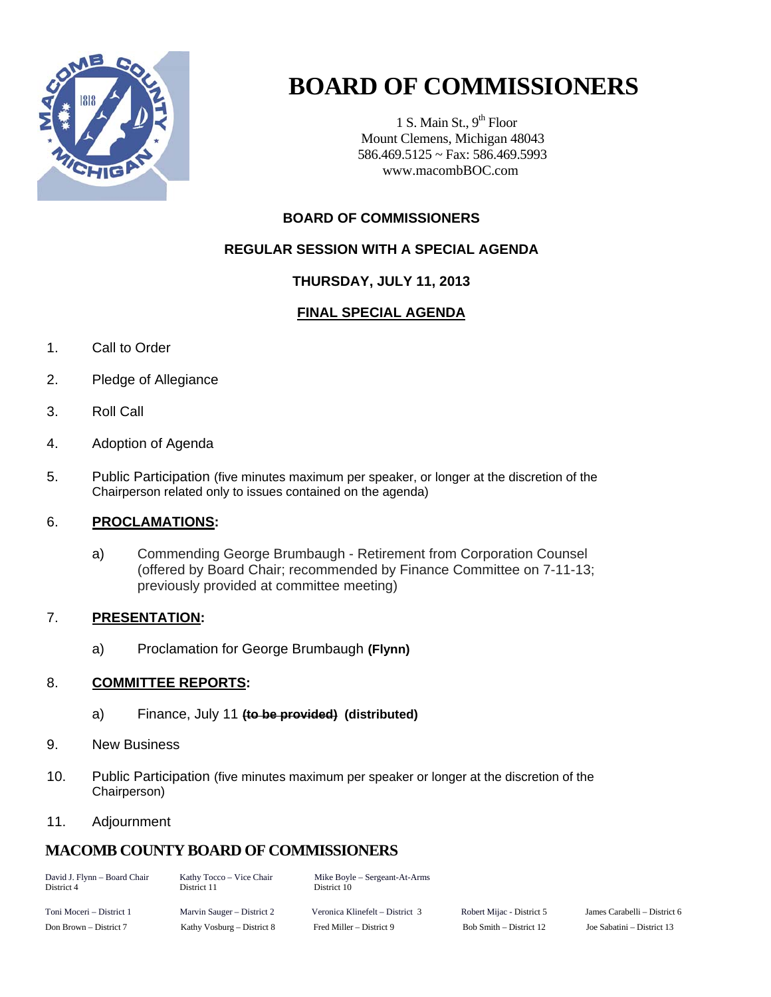

# **BOARD OF COMMISSIONERS**

1 S. Main St.,  $9<sup>th</sup>$  Floor Mount Clemens, Michigan 48043 586.469.5125 ~ Fax: 586.469.5993 www.macombBOC.com

#### **BOARD OF COMMISSIONERS**

#### **REGULAR SESSION WITH A SPECIAL AGENDA**

#### **THURSDAY, JULY 11, 2013**

#### **FINAL SPECIAL AGENDA**

- 1. Call to Order
- 2. Pledge of Allegiance
- 3. Roll Call
- 4. Adoption of Agenda
- 5. Public Participation (five minutes maximum per speaker, or longer at the discretion of the Chairperson related only to issues contained on the agenda)

#### 6. **PROCLAMATIONS:**

a) Commending George Brumbaugh - Retirement from Corporation Counsel (offered by Board Chair; recommended by Finance Committee on 7-11-13; previously provided at committee meeting)

#### 7. **PRESENTATION:**

a) Proclamation for George Brumbaugh **(Flynn)** 

#### 8. **COMMITTEE REPORTS:**

- a) Finance, July 11 **(to be provided) (distributed)**
- 9. New Business
- 10. Public Participation (five minutes maximum per speaker or longer at the discretion of the Chairperson)

#### 11. Adjournment

#### **MACOMB COUNTY BOARD OF COMMISSIONERS**

| David J. Flynn - Board Chair<br>District 4 | Kathy Tocco – Vice Chair<br>District 11 | Mike Boyle – Sergeant-At-Arms<br>District 10 |                           |                            |
|--------------------------------------------|-----------------------------------------|----------------------------------------------|---------------------------|----------------------------|
| Toni Moceri – District 1                   | Marvin Sauger – District 2              | Veronica Klinefelt – District 3              | Robert Mijac - District 5 | James Carabelli – District |
| Don Brown – District 7                     | Kathy Vosburg – District 8              | Fred Miller – District 9                     | Bob Smith – District 12   | Joe Sabatini – District 13 |

District 5 James Carabelli – District 6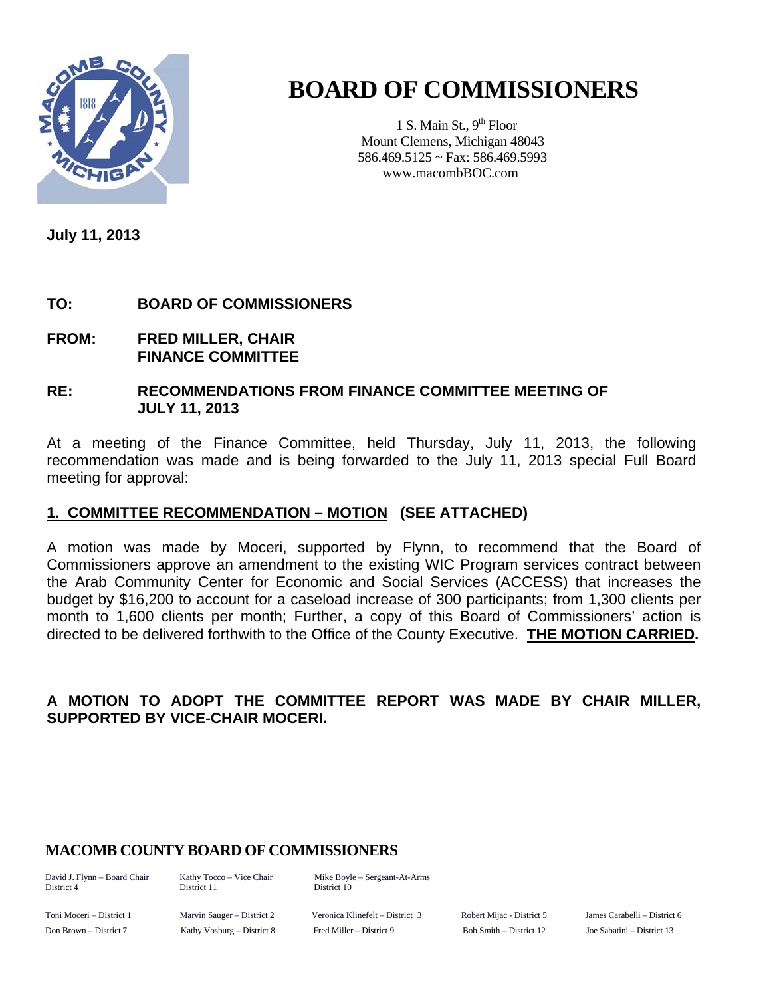

# **BOARD OF COMMISSIONERS**

1 S. Main St.,  $9<sup>th</sup>$  Floor Mount Clemens, Michigan 48043 586.469.5125 ~ Fax: 586.469.5993 www.macombBOC.com

**July 11, 2013** 

#### **TO: BOARD OF COMMISSIONERS**

**FROM: FRED MILLER, CHAIR FINANCE COMMITTEE** 

#### **RE: RECOMMENDATIONS FROM FINANCE COMMITTEE MEETING OF JULY 11, 2013**

At a meeting of the Finance Committee, held Thursday, July 11, 2013, the following recommendation was made and is being forwarded to the July 11, 2013 special Full Board meeting for approval:

#### **1. COMMITTEE RECOMMENDATION – MOTION (SEE ATTACHED)**

A motion was made by Moceri, supported by Flynn, to recommend that the Board of Commissioners approve an amendment to the existing WIC Program services contract between the Arab Community Center for Economic and Social Services (ACCESS) that increases the budget by \$16,200 to account for a caseload increase of 300 participants; from 1,300 clients per month to 1,600 clients per month; Further, a copy of this Board of Commissioners' action is directed to be delivered forthwith to the Office of the County Executive. **THE MOTION CARRIED.** 

#### **A MOTION TO ADOPT THE COMMITTEE REPORT WAS MADE BY CHAIR MILLER, SUPPORTED BY VICE-CHAIR MOCERI.**

#### **MACOMB COUNTY BOARD OF COMMISSIONERS**

District 4 District 11 District 10

David J. Flynn – Board Chair Kathy Tocco – Vice Chair Mike Boyle – Sergeant-At-Arms

Toni Moceri – District 1 Marvin Sauger – District 2 Veronica Klinefelt – District 3 Robert Mijac - District 5 James Carabelli – District 6 Don Brown – District 7 Kathy Vosburg – District 8 Fred Miller – District 9 Bob Smith – District 12 Joe Sabatini – District 13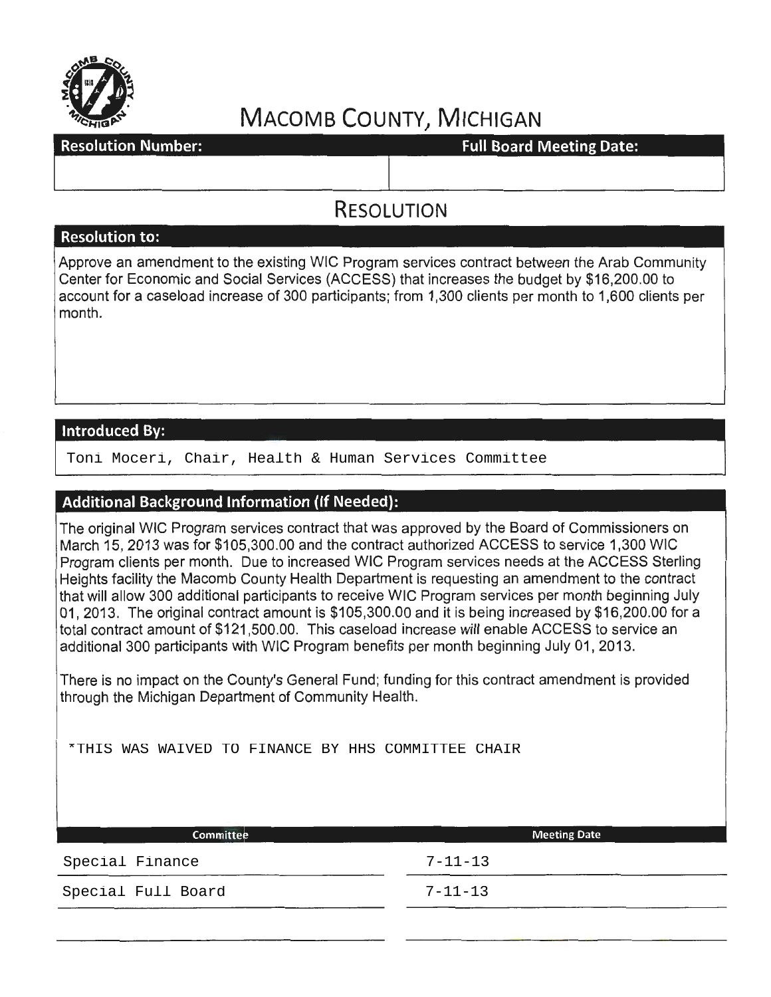

# **MACOMB COUNTY, MICHIGAN**<br>Full Board Meeting Date:

**Resolution Number:** 

### **RESOLUTION**

#### **Resolution to:**

Approve an amendment to the existing WIC Program services contract between the Arab Community Center for Economic and Social Services (ACCESS) that increases the budget by \$16,200.00 to account for a case load increase of 300 participants; from 1 ,300 clients per month to 1 ,600 clients per month.

#### **Introduced By:**

Toni Moceri, Chair, Health & Human Services Committee

#### **Additional Background Information (If Needed):**

The original WIC Program services contract that was approved by the Board of Commissioners on March 15,2013 was for \$105,300.00 and the contract authorized ACCESS to service 1,300 WIC Program clients per month. Due to increased WIC Program services needs at the ACCESS Sterling Heights facility the Macomb County Health Department is requesting an amendment to the contract that will allow 300 additional participants to receive WIC Program services per month beginning July 01, 2013. The original contract amount is \$105,300.00 and it is being increased by \$16,200.00 for a total contract amount of \$121 ,500.00. This caseload increase will enable ACCESS to service an additional 300 participants with WIC Program benefits per month beginning July 01, 2013.

There is no impact on the County's General Fund; funding for this contract amendment is provided through the Michigan Department of Community Health.

\*THIS WAS WAIVED TO FINANCE BY HHS COMMITTEE CHAIR

| <b>Meeting Date</b> |
|---------------------|
| $7 - 11 - 13$       |
| $7 - 11 - 13$       |
|                     |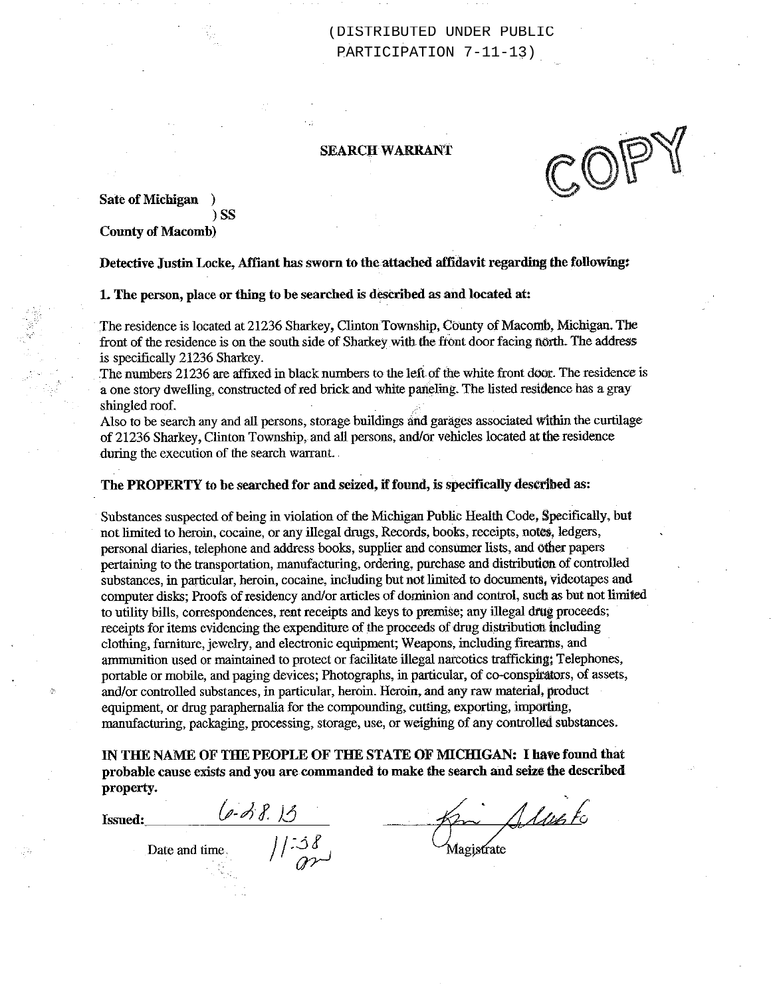(DISTRIBUTED UNDER PUBLIC PARTICIPATION 7-11-13)

#### **SEARCH WARRANT**

**Sate of Michigan**  $\rightarrow$ 

**County of Macomb)** 

 $)$  SS

Detective Justin Locke, Affiant has sworn to the attached affidavit regarding the following:

1. The person, place or thing to be searched is described as and located at:

The residence is located at 21236 Sharkey, Clinton Township, County of Macomb, Michigan. The front of the residence is on the south side of Sharkey with the front door facing north. The address is specifically 21236 Sharkey.

The numbers 21236 are affixed in black numbers to the left of the white front door. The residence is a one story dwelling, constructed of red brick and white paneling. The listed residence has a gray shingled roof.

Also to be search any and all persons, storage buildings and garages associated within the curtilage of 21236 Sharkey, Clinton Township, and all persons, and/or vehicles located at the residence during the execution of the search warrant.

#### The PROPERTY to be searched for and seized, if found, is specifically described as:

Substances suspected of being in violation of the Michigan Public Health Code, Specifically, but not limited to heroin, cocaine, or any illegal drugs, Records, books, receipts, notes, ledgers, personal diaries, telephone and address books, supplier and consumer lists, and other papers pertaining to the transportation, manufacturing, ordering, purchase and distribution of controlled substances, in particular, heroin, cocaine, including but not limited to documents, videotapes and computer disks; Proofs of residency and/or articles of dominion and control, such as but not limited to utility bills, correspondences, rent receipts and keys to premise; any illegal drug proceeds; receipts for items evidencing the expenditure of the proceeds of drug distribution including clothing, furniture, jewelry, and electronic equipment; Weapons, including firearms, and ammunition used or maintained to protect or facilitate illegal narcotics trafficking; Telephones, portable or mobile, and paging devices; Photographs, in particular, of co-conspirators, of assets, and/or controlled substances, in particular, heroin. Heroin, and any raw material, product equipment, or drug paraphernalia for the compounding, cutting, exporting, importing, manufacturing, packaging, processing, storage, use, or weighing of any controlled substances.

IN THE NAME OF THE PEOPLE OF THE STATE OF MICHIGAN: I have found that probable cause exists and you are commanded to make the search and seize the described property.

Issued:

Alusto Magistrate

 $\frac{(\rho \cdot \phi) \cancel{f} \cdot \cancel{f}}{\text{Date and time}}$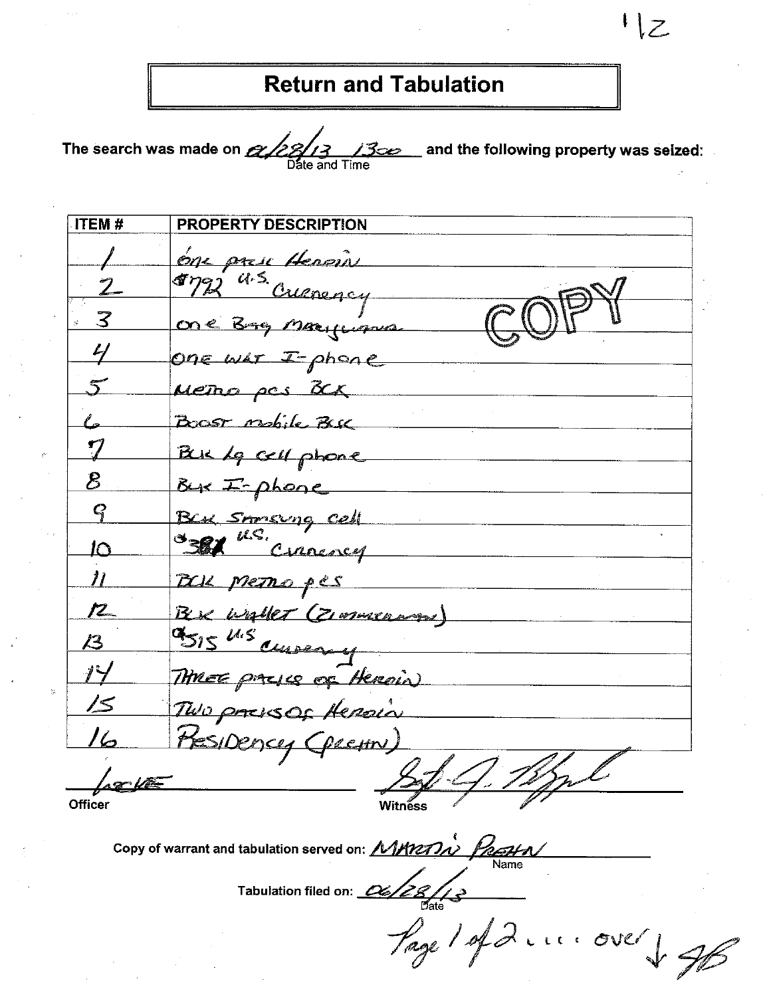## **Return and Tabulation**

The search was made on  $\alpha$  22/3 13  $\char`_\hspace{0.15mm}$  and the following property was seized:  $\char`_\hspace{0.15mm}$ ومعا

| ITEM#            | PROPERTY DESCRIPTION    |
|------------------|-------------------------|
|                  | one prese Heroin        |
| $\boldsymbol{Z}$ | Myz a.s. Creaning       |
| 3                | One Bre Margament       |
|                  | One war I-phone         |
|                  | Metho pas BCK           |
|                  | Boost mobile Buck       |
|                  | But le cell phone       |
| ${\mathcal{B}}$  | Bux I-phone             |
| $\bm{Q}$         | Ber Storsung cell       |
| わ                | 381 U.S. Circuncy       |
| $\eta$           | BOR METRO pes           |
| <b>72_</b>       | Bere unaller (Zimmenwan |
| /3               | 9515 U.S currency       |
| 14               | THREE packes of Heroin) |
| 15               | TWO pressor Heroin      |
| 16               | Presidency (pecin)      |
|                  |                         |
| Officer          | Witnẽss                 |

Copy of warrant and tabulation served on:  $MMRM\lambda$ 

Tabulation filed on:  $\frac{\alpha}{\beta}$ 

Page 1 of 2 .... over & JB

 $1\overline{z}$